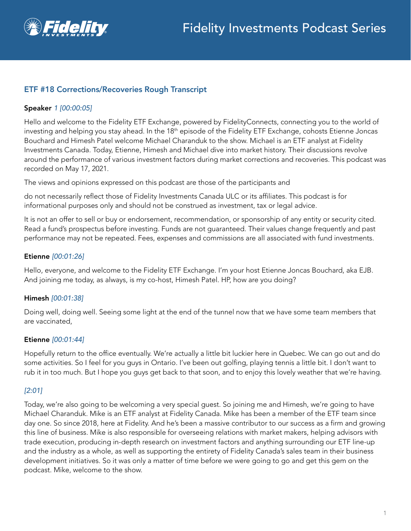

# ETF #18 Corrections/Recoveries Rough Transcript

### Speaker *1 [00:00:05]*

Hello and welcome to the Fidelity ETF Exchange, powered by FidelityConnects, connecting you to the world of investing and helping you stay ahead. In the 18<sup>th</sup> episode of the Fidelity ETF Exchange, cohosts Etienne Joncas Bouchard and Himesh Patel welcome Michael Charanduk to the show. Michael is an ETF analyst at Fidelity Investments Canada. Today, Etienne, Himesh and Michael dive into market history. Their discussions revolve around the performance of various investment factors during market corrections and recoveries. This podcast was recorded on May 17, 2021.

The views and opinions expressed on this podcast are those of the participants and

do not necessarily reflect those of Fidelity Investments Canada ULC or its affiliates. This podcast is for informational purposes only and should not be construed as investment, tax or legal advice.

It is not an offer to sell or buy or endorsement, recommendation, or sponsorship of any entity or security cited. Read a fund's prospectus before investing. Funds are not guaranteed. Their values change frequently and past performance may not be repeated. Fees, expenses and commissions are all associated with fund investments.

### Etienne *[00:01:26]*

Hello, everyone, and welcome to the Fidelity ETF Exchange. I'm your host Etienne Joncas Bouchard, aka EJB. And joining me today, as always, is my co-host, Himesh Patel. HP, how are you doing?

### Himesh *[00:01:38]*

Doing well, doing well. Seeing some light at the end of the tunnel now that we have some team members that are vaccinated,

### Etienne *[00:01:44]*

Hopefully return to the office eventually. We're actually a little bit luckier here in Quebec. We can go out and do some activities. So I feel for you guys in Ontario. I've been out golfing, playing tennis a little bit. I don't want to rub it in too much. But I hope you guys get back to that soon, and to enjoy this lovely weather that we're having.

### *[2:01]*

Today, we're also going to be welcoming a very special guest. So joining me and Himesh, we're going to have Michael Charanduk. Mike is an ETF analyst at Fidelity Canada. Mike has been a member of the ETF team since day one. So since 2018, here at Fidelity. And he's been a massive contributor to our success as a firm and growing this line of business. Mike is also responsible for overseeing relations with market makers, helping advisors with trade execution, producing in-depth research on investment factors and anything surrounding our ETF line-up and the industry as a whole, as well as supporting the entirety of Fidelity Canada's sales team in their business development initiatives. So it was only a matter of time before we were going to go and get this gem on the podcast. Mike, welcome to the show.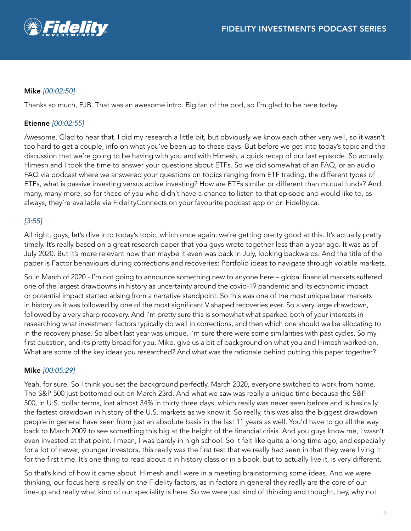

# Mike *[00:02:50]*

Thanks so much, EJB. That was an awesome intro. Big fan of the pod, so I'm glad to be here today.

### Etienne *[00:02:55]*

Awesome. Glad to hear that. I did my research a little bit, but obviously we know each other very well, so it wasn't too hard to get a couple, info on what you've been up to these days. But before we get into today's topic and the discussion that we're going to be having with you and with Himesh, a quick recap of our last episode. So actually, Himesh and I took the time to answer your questions about ETFs. So we did somewhat of an FAQ, or an audio FAQ via podcast where we answered your questions on topics ranging from ETF trading, the different types of ETFs, what is passive investing versus active investing? How are ETFs similar or different than mutual funds? And many, many more, so for those of you who didn't have a chance to listen to that episode and would like to, as always, they're available via FidelityConnects on your favourite podcast app or on Fidelity.ca.

# *[3:55]*

All right, guys, let's dive into today's topic, which once again, we're getting pretty good at this. It's actually pretty timely. It's really based on a great research paper that you guys wrote together less than a year ago. It was as of July 2020. But it's more relevant now than maybe it even was back in July, looking backwards. And the title of the paper is Factor behaviours during corrections and recoveries: Portfolio ideas to navigate through volatile markets.

So in March of 2020 - I'm not going to announce something new to anyone here – global financial markets suffered one of the largest drawdowns in history as uncertainty around the covid-19 pandemic and its economic impact or potential impact started arising from a narrative standpoint. So this was one of the most unique bear markets in history as it was followed by one of the most significant V shaped recoveries ever. So a very large drawdown, followed by a very sharp recovery. And I'm pretty sure this is somewhat what sparked both of your interests in researching what investment factors typically do well in corrections, and then which one should we be allocating to in the recovery phase. So albeit last year was unique, I'm sure there were some similarities with past cycles. So my first question, and it's pretty broad for you, Mike, give us a bit of background on what you and Himesh worked on. What are some of the key ideas you researched? And what was the rationale behind putting this paper together?

### Mike *[00:05:29]*

Yeah, for sure. So I think you set the background perfectly. March 2020, everyone switched to work from home. The S&P 500 just bottomed out on March 23rd. And what we saw was really a unique time because the S&P 500, in U.S. dollar terms, lost almost 34% in thirty three days, which really was never seen before and is basically the fastest drawdown in history of the U.S. markets as we know it. So really, this was also the biggest drawdown people in general have seen from just an absolute basis in the last 11 years as well. You'd have to go all the way back to March 2009 to see something this big at the height of the financial crisis. And you guys know me, I wasn't even invested at that point. I mean, I was barely in high school. So it felt like quite a long time ago, and especially for a lot of newer, younger investors, this really was the first test that we really had seen in that they were living it for the first time. It's one thing to read about it in history class or in a book, but to actually live it, is very different.

So that's kind of how it came about. Himesh and I were in a meeting brainstorming some ideas. And we were thinking, our focus here is really on the Fidelity factors, as in factors in general they really are the core of our line-up and really what kind of our speciality is here. So we were just kind of thinking and thought, hey, why not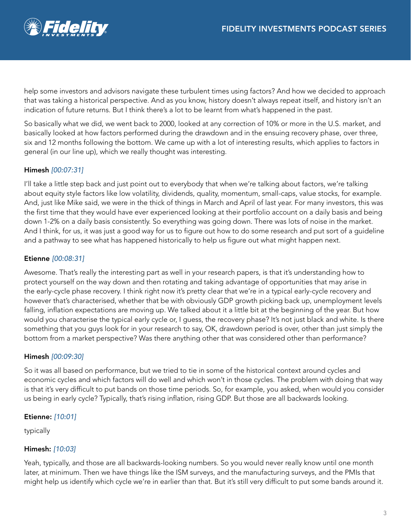

help some investors and advisors navigate these turbulent times using factors? And how we decided to approach that was taking a historical perspective. And as you know, history doesn't always repeat itself, and history isn't an indication of future returns. But I think there's a lot to be learnt from what's happened in the past.

So basically what we did, we went back to 2000, looked at any correction of 10% or more in the U.S. market, and basically looked at how factors performed during the drawdown and in the ensuing recovery phase, over three, six and 12 months following the bottom. We came up with a lot of interesting results, which applies to factors in general (in our line up), which we really thought was interesting.

# Himesh *[00:07:31]*

I'll take a little step back and just point out to everybody that when we're talking about factors, we're talking about equity style factors like low volatility, dividends, quality, momentum, small-caps, value stocks, for example. And, just like Mike said, we were in the thick of things in March and April of last year. For many investors, this was the first time that they would have ever experienced looking at their portfolio account on a daily basis and being down 1-2% on a daily basis consistently. So everything was going down. There was lots of noise in the market. And I think, for us, it was just a good way for us to figure out how to do some research and put sort of a guideline and a pathway to see what has happened historically to help us figure out what might happen next.

# Etienne *[00:08:31]*

Awesome. That's really the interesting part as well in your research papers, is that it's understanding how to protect yourself on the way down and then rotating and taking advantage of opportunities that may arise in the early-cycle phase recovery. I think right now it's pretty clear that we're in a typical early-cycle recovery and however that's characterised, whether that be with obviously GDP growth picking back up, unemployment levels falling, inflation expectations are moving up. We talked about it a little bit at the beginning of the year. But how would you characterise the typical early cycle or, I guess, the recovery phase? It's not just black and white. Is there something that you guys look for in your research to say, OK, drawdown period is over, other than just simply the bottom from a market perspective? Was there anything other that was considered other than performance?

# Himesh *[00:09:30]*

So it was all based on performance, but we tried to tie in some of the historical context around cycles and economic cycles and which factors will do well and which won't in those cycles. The problem with doing that way is that it's very difficult to put bands on those time periods. So, for example, you asked, when would you consider us being in early cycle? Typically, that's rising inflation, rising GDP. But those are all backwards looking.

# Etienne: *[10:01]*

typically

# Himesh: *[10:03]*

Yeah, typically, and those are all backwards-looking numbers. So you would never really know until one month later, at minimum. Then we have things like the ISM surveys, and the manufacturing surveys, and the PMIs that might help us identify which cycle we're in earlier than that. But it's still very difficult to put some bands around it.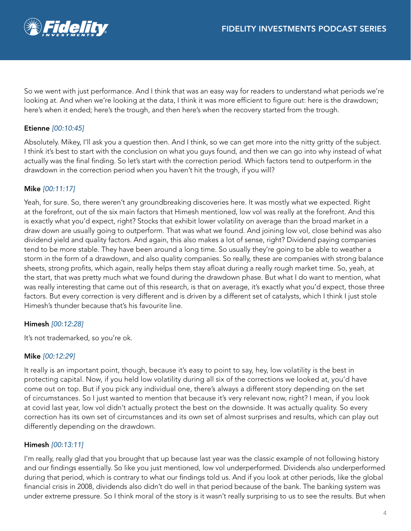

So we went with just performance. And I think that was an easy way for readers to understand what periods we're looking at. And when we're looking at the data, I think it was more efficient to figure out: here is the drawdown; here's when it ended; here's the trough, and then here's when the recovery started from the trough.

## Etienne *[00:10:45]*

Absolutely. Mikey, I'll ask you a question then. And I think, so we can get more into the nitty gritty of the subject. I think it's best to start with the conclusion on what you guys found, and then we can go into why instead of what actually was the final finding. So let's start with the correction period. Which factors tend to outperform in the drawdown in the correction period when you haven't hit the trough, if you will?

### Mike *[00:11:17]*

Yeah, for sure. So, there weren't any groundbreaking discoveries here. It was mostly what we expected. Right at the forefront, out of the six main factors that Himesh mentioned, low vol was really at the forefront. And this is exactly what you'd expect, right? Stocks that exhibit lower volatility on average than the broad market in a draw down are usually going to outperform. That was what we found. And joining low vol, close behind was also dividend yield and quality factors. And again, this also makes a lot of sense, right? Dividend paying companies tend to be more stable. They have been around a long time. So usually they're going to be able to weather a storm in the form of a drawdown, and also quality companies. So really, these are companies with strong balance sheets, strong profits, which again, really helps them stay afloat during a really rough market time. So, yeah, at the start, that was pretty much what we found during the drawdown phase. But what I do want to mention, what was really interesting that came out of this research, is that on average, it's exactly what you'd expect, those three factors. But every correction is very different and is driven by a different set of catalysts, which I think I just stole Himesh's thunder because that's his favourite line.

### Himesh *[00:12:28]*

It's not trademarked, so you're ok.

### Mike *[00:12:29]*

It really is an important point, though, because it's easy to point to say, hey, low volatility is the best in protecting capital. Now, if you held low volatility during all six of the corrections we looked at, you'd have come out on top. But if you pick any individual one, there's always a different story depending on the set of circumstances. So I just wanted to mention that because it's very relevant now, right? I mean, if you look at covid last year, low vol didn't actually protect the best on the downside. It was actually quality. So every correction has its own set of circumstances and its own set of almost surprises and results, which can play out differently depending on the drawdown.

### Himesh *[00:13:11]*

I'm really, really glad that you brought that up because last year was the classic example of not following history and our findings essentially. So like you just mentioned, low vol underperformed. Dividends also underperformed during that period, which is contrary to what our findings told us. And if you look at other periods, like the global financial crisis in 2008, dividends also didn't do well in that period because of the bank. The banking system was under extreme pressure. So I think moral of the story is it wasn't really surprising to us to see the results. But when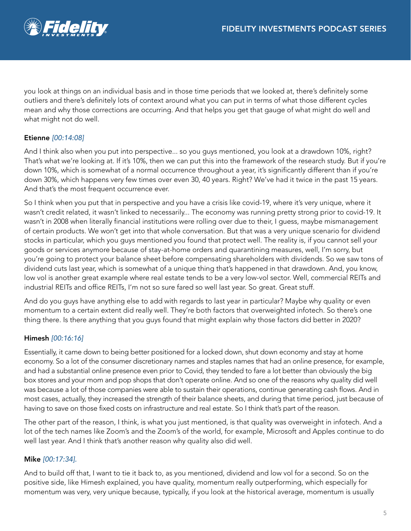

you look at things on an individual basis and in those time periods that we looked at, there's definitely some outliers and there's definitely lots of context around what you can put in terms of what those different cycles mean and why those corrections are occurring. And that helps you get that gauge of what might do well and what might not do well.

# Etienne *[00:14:08]*

And I think also when you put into perspective... so you guys mentioned, you look at a drawdown 10%, right? That's what we're looking at. If it's 10%, then we can put this into the framework of the research study. But if you're down 10%, which is somewhat of a normal occurrence throughout a year, it's significantly different than if you're down 30%, which happens very few times over even 30, 40 years. Right? We've had it twice in the past 15 years. And that's the most frequent occurrence ever.

So I think when you put that in perspective and you have a crisis like covid-19, where it's very unique, where it wasn't credit related, it wasn't linked to necessarily... The economy was running pretty strong prior to covid-19. It wasn't in 2008 when literally financial institutions were rolling over due to their, I guess, maybe mismanagement of certain products. We won't get into that whole conversation. But that was a very unique scenario for dividend stocks in particular, which you guys mentioned you found that protect well. The reality is, if you cannot sell your goods or services anymore because of stay-at-home orders and quarantining measures, well, I'm sorry, but you're going to protect your balance sheet before compensating shareholders with dividends. So we saw tons of dividend cuts last year, which is somewhat of a unique thing that's happened in that drawdown. And, you know, low vol is another great example where real estate tends to be a very low-vol sector. Well, commercial REITs and industrial REITs and office REITs, I'm not so sure fared so well last year. So great. Great stuff.

And do you guys have anything else to add with regards to last year in particular? Maybe why quality or even momentum to a certain extent did really well. They're both factors that overweighted infotech. So there's one thing there. Is there anything that you guys found that might explain why those factors did better in 2020?

# Himesh *[00:16:16]*

Essentially, it came down to being better positioned for a locked down, shut down economy and stay at home economy. So a lot of the consumer discretionary names and staples names that had an online presence, for example, and had a substantial online presence even prior to Covid, they tended to fare a lot better than obviously the big box stores and your mom and pop shops that don't operate online. And so one of the reasons why quality did well was because a lot of those companies were able to sustain their operations, continue generating cash flows. And in most cases, actually, they increased the strength of their balance sheets, and during that time period, just because of having to save on those fixed costs on infrastructure and real estate. So I think that's part of the reason.

The other part of the reason, I think, is what you just mentioned, is that quality was overweight in infotech. And a lot of the tech names like Zoom's and the Zoom's of the world, for example, Microsoft and Apples continue to do well last year. And I think that's another reason why quality also did well.

# Mike *[00:17:34].*

And to build off that, I want to tie it back to, as you mentioned, dividend and low vol for a second. So on the positive side, like Himesh explained, you have quality, momentum really outperforming, which especially for momentum was very, very unique because, typically, if you look at the historical average, momentum is usually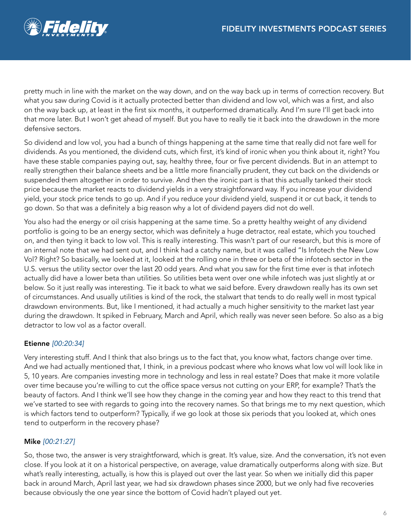

pretty much in line with the market on the way down, and on the way back up in terms of correction recovery. But what you saw during Covid is it actually protected better than dividend and low vol, which was a first, and also on the way back up, at least in the first six months, it outperformed dramatically. And I'm sure I'll get back into that more later. But I won't get ahead of myself. But you have to really tie it back into the drawdown in the more defensive sectors.

So dividend and low vol, you had a bunch of things happening at the same time that really did not fare well for dividends. As you mentioned, the dividend cuts, which first, it's kind of ironic when you think about it, right? You have these stable companies paying out, say, healthy three, four or five percent dividends. But in an attempt to really strengthen their balance sheets and be a little more financially prudent, they cut back on the dividends or suspended them altogether in order to survive. And then the ironic part is that this actually tanked their stock price because the market reacts to dividend yields in a very straightforward way. If you increase your dividend yield, your stock price tends to go up. And if you reduce your dividend yield, suspend it or cut back, it tends to go down. So that was a definitely a big reason why a lot of dividend payers did not do well.

You also had the energy or oil crisis happening at the same time. So a pretty healthy weight of any dividend portfolio is going to be an energy sector, which was definitely a huge detractor, real estate, which you touched on, and then tying it back to low vol. This is really interesting. This wasn't part of our research, but this is more of an internal note that we had sent out, and I think had a catchy name, but it was called "Is Infotech the New Low Vol? Right? So basically, we looked at it, looked at the rolling one in three or beta of the infotech sector in the U.S. versus the utility sector over the last 20 odd years. And what you saw for the first time ever is that infotech actually did have a lower beta than utilities. So utilities beta went over one while infotech was just slightly at or below. So it just really was interesting. Tie it back to what we said before. Every drawdown really has its own set of circumstances. And usually utilities is kind of the rock, the stalwart that tends to do really well in most typical drawdown environments. But, like I mentioned, it had actually a much higher sensitivity to the market last year during the drawdown. It spiked in February, March and April, which really was never seen before. So also as a big detractor to low vol as a factor overall.

### Etienne *[00:20:34]*

Very interesting stuff. And I think that also brings us to the fact that, you know what, factors change over time. And we had actually mentioned that, I think, in a previous podcast where who knows what low vol will look like in 5, 10 years. Are companies investing more in technology and less in real estate? Does that make it more volatile over time because you're willing to cut the office space versus not cutting on your ERP, for example? That's the beauty of factors. And I think we'll see how they change in the coming year and how they react to this trend that we've started to see with regards to going into the recovery names. So that brings me to my next question, which is which factors tend to outperform? Typically, if we go look at those six periods that you looked at, which ones tend to outperform in the recovery phase?

### Mike *[00:21:27]*

So, those two, the answer is very straightforward, which is great. It's value, size. And the conversation, it's not even close. If you look at it on a historical perspective, on average, value dramatically outperforms along with size. But what's really interesting, actually, is how this is played out over the last year. So when we initially did this paper back in around March, April last year, we had six drawdown phases since 2000, but we only had five recoveries because obviously the one year since the bottom of Covid hadn't played out yet.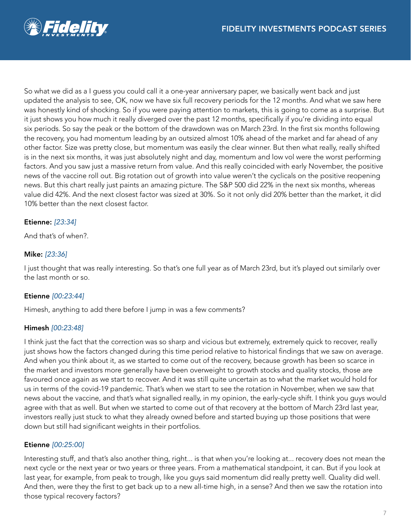

So what we did as a I guess you could call it a one-year anniversary paper, we basically went back and just updated the analysis to see, OK, now we have six full recovery periods for the 12 months. And what we saw here was honestly kind of shocking. So if you were paying attention to markets, this is going to come as a surprise. But it just shows you how much it really diverged over the past 12 months, specifically if you're dividing into equal six periods. So say the peak or the bottom of the drawdown was on March 23rd. In the first six months following the recovery, you had momentum leading by an outsized almost 10% ahead of the market and far ahead of any other factor. Size was pretty close, but momentum was easily the clear winner. But then what really, really shifted is in the next six months, it was just absolutely night and day, momentum and low vol were the worst performing factors. And you saw just a massive return from value. And this really coincided with early November, the positive news of the vaccine roll out. Big rotation out of growth into value weren't the cyclicals on the positive reopening news. But this chart really just paints an amazing picture. The S&P 500 did 22% in the next six months, whereas value did 42%. And the next closest factor was sized at 30%. So it not only did 20% better than the market, it did 10% better than the next closest factor.

### Etienne: *[23:34]*

And that's of when?.

### Mike: *[23:36]*

I just thought that was really interesting. So that's one full year as of March 23rd, but it's played out similarly over the last month or so.

#### Etienne *[00:23:44]*

Himesh, anything to add there before I jump in was a few comments?

#### Himesh *[00:23:48]*

I think just the fact that the correction was so sharp and vicious but extremely, extremely quick to recover, really just shows how the factors changed during this time period relative to historical findings that we saw on average. And when you think about it, as we started to come out of the recovery, because growth has been so scarce in the market and investors more generally have been overweight to growth stocks and quality stocks, those are favoured once again as we start to recover. And it was still quite uncertain as to what the market would hold for us in terms of the covid-19 pandemic. That's when we start to see the rotation in November, when we saw that news about the vaccine, and that's what signalled really, in my opinion, the early-cycle shift. I think you guys would agree with that as well. But when we started to come out of that recovery at the bottom of March 23rd last year, investors really just stuck to what they already owned before and started buying up those positions that were down but still had significant weights in their portfolios.

### Etienne *[00:25:00]*

Interesting stuff, and that's also another thing, right... is that when you're looking at... recovery does not mean the next cycle or the next year or two years or three years. From a mathematical standpoint, it can. But if you look at last year, for example, from peak to trough, like you guys said momentum did really pretty well. Quality did well. And then, were they the first to get back up to a new all-time high, in a sense? And then we saw the rotation into those typical recovery factors?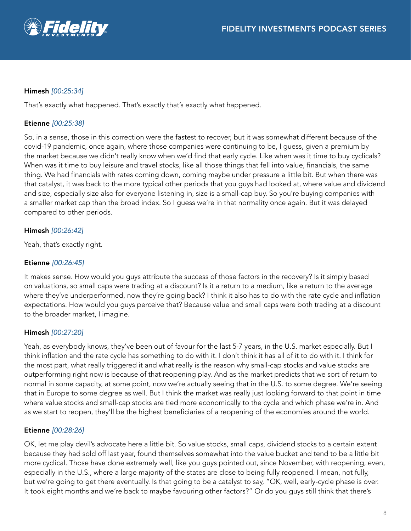

### Himesh *[00:25:34]*

That's exactly what happened. That's exactly that's exactly what happened.

### Etienne *[00:25:38]*

So, in a sense, those in this correction were the fastest to recover, but it was somewhat different because of the covid-19 pandemic, once again, where those companies were continuing to be, I guess, given a premium by the market because we didn't really know when we'd find that early cycle. Like when was it time to buy cyclicals? When was it time to buy leisure and travel stocks, like all those things that fell into value, financials, the same thing. We had financials with rates coming down, coming maybe under pressure a little bit. But when there was that catalyst, it was back to the more typical other periods that you guys had looked at, where value and dividend and size, especially size also for everyone listening in, size is a small-cap buy. So you're buying companies with a smaller market cap than the broad index. So I guess we're in that normality once again. But it was delayed compared to other periods.

### Himesh *[00:26:42]*

Yeah, that's exactly right.

#### Etienne *[00:26:45]*

It makes sense. How would you guys attribute the success of those factors in the recovery? Is it simply based on valuations, so small caps were trading at a discount? Is it a return to a medium, like a return to the average where they've underperformed, now they're going back? I think it also has to do with the rate cycle and inflation expectations. How would you guys perceive that? Because value and small caps were both trading at a discount to the broader market, I imagine.

#### Himesh *[00:27:20]*

Yeah, as everybody knows, they've been out of favour for the last 5-7 years, in the U.S. market especially. But I think inflation and the rate cycle has something to do with it. I don't think it has all of it to do with it. I think for the most part, what really triggered it and what really is the reason why small-cap stocks and value stocks are outperforming right now is because of that reopening play. And as the market predicts that we sort of return to normal in some capacity, at some point, now we're actually seeing that in the U.S. to some degree. We're seeing that in Europe to some degree as well. But I think the market was really just looking forward to that point in time where value stocks and small-cap stocks are tied more economically to the cycle and which phase we're in. And as we start to reopen, they'll be the highest beneficiaries of a reopening of the economies around the world.

#### Etienne *[00:28:26]*

OK, let me play devil's advocate here a little bit. So value stocks, small caps, dividend stocks to a certain extent because they had sold off last year, found themselves somewhat into the value bucket and tend to be a little bit more cyclical. Those have done extremely well, like you guys pointed out, since November, with reopening, even, especially in the U.S., where a large majority of the states are close to being fully reopened. I mean, not fully, but we're going to get there eventually. Is that going to be a catalyst to say, "OK, well, early-cycle phase is over. It took eight months and we're back to maybe favouring other factors?" Or do you guys still think that there's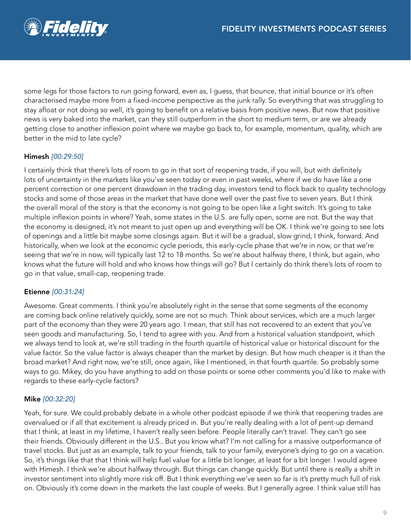

some legs for those factors to run going forward, even as, I guess, that bounce, that initial bounce or it's often characterised maybe more from a fixed-income perspective as the junk rally. So everything that was struggling to stay afloat or not doing so well, it's going to benefit on a relative basis from positive news. But now that positive news is very baked into the market, can they still outperform in the short to medium term, or are we already getting close to another inflexion point where we maybe go back to, for example, momentum, quality, which are better in the mid to late cycle?

# Himesh *[00:29:50]*

I certainly think that there's lots of room to go in that sort of reopening trade, if you will, but with definitely lots of uncertainty in the markets like you've seen today or even in past weeks, where if we do have like a one percent correction or one percent drawdown in the trading day, investors tend to flock back to quality technology stocks and some of those areas in the market that have done well over the past five to seven years. But I think the overall moral of the story is that the economy is not going to be open like a light switch. It's going to take multiple inflexion points in where? Yeah, some states in the U.S. are fully open, some are not. But the way that the economy is designed, it's not meant to just open up and everything will be OK. I think we're going to see lots of openings and a little bit maybe some closings again. But it will be a gradual, slow grind, I think, forward. And historically, when we look at the economic cycle periods, this early-cycle phase that we're in now, or that we're seeing that we're in now, will typically last 12 to 18 months. So we're about halfway there, I think, but again, who knows what the future will hold and who knows how things will go? But I certainly do think there's lots of room to go in that value, small-cap, reopening trade.

### Etienne *[00:31:24]*

Awesome. Great comments. I think you're absolutely right in the sense that some segments of the economy are coming back online relatively quickly, some are not so much. Think about services, which are a much larger part of the economy than they were 20 years ago. I mean, that still has not recovered to an extent that you've seen goods and manufacturing. So, I tend to agree with you. And from a historical valuation standpoint, which we always tend to look at, we're still trading in the fourth quartile of historical value or historical discount for the value factor. So the value factor is always cheaper than the market by design. But how much cheaper is it than the broad market? And right now, we're still, once again, like I mentioned, in that fourth quartile. So probably some ways to go. Mikey, do you have anything to add on those points or some other comments you'd like to make with regards to these early-cycle factors?

### Mike *[00:32:20]*

Yeah, for sure. We could probably debate in a whole other podcast episode if we think that reopening trades are overvalued or if all that excitement is already priced in. But you're really dealing with a lot of pent-up demand that I think, at least in my lifetime, I haven't really seen before. People literally can't travel. They can't go see their friends. Obviously different in the U.S.. But you know what? I'm not calling for a massive outperformance of travel stocks. But just as an example, talk to your friends, talk to your family, everyone's dying to go on a vacation. So, it's things like that that I think will help fuel value for a little bit longer, at least for a bit longer. I would agree with Himesh. I think we're about halfway through. But things can change quickly. But until there is really a shift in investor sentiment into slightly more risk off. But I think everything we've seen so far is it's pretty much full of risk on. Obviously it's come down in the markets the last couple of weeks. But I generally agree. I think value still has